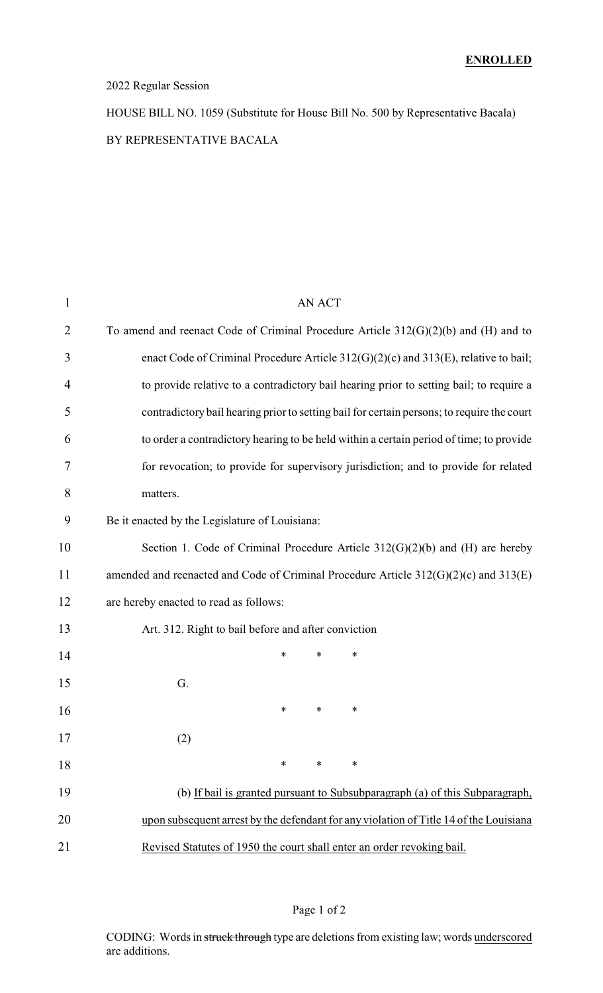#### 2022 Regular Session

HOUSE BILL NO. 1059 (Substitute for House Bill No. 500 by Representative Bacala) BY REPRESENTATIVE BACALA

| 1  | <b>AN ACT</b>                                                                              |
|----|--------------------------------------------------------------------------------------------|
| 2  | To amend and reenact Code of Criminal Procedure Article $312(G)(2)(b)$ and (H) and to      |
| 3  | enact Code of Criminal Procedure Article 312(G)(2)(c) and 313(E), relative to bail;        |
| 4  | to provide relative to a contradictory bail hearing prior to setting bail; to require a    |
| 5  | contradictory bail hearing prior to setting bail for certain persons; to require the court |
| 6  | to order a contradictory hearing to be held within a certain period of time; to provide    |
| 7  | for revocation; to provide for supervisory jurisdiction; and to provide for related        |
| 8  | matters.                                                                                   |
| 9  | Be it enacted by the Legislature of Louisiana:                                             |
| 10 | Section 1. Code of Criminal Procedure Article $312(G)(2)(b)$ and (H) are hereby            |
| 11 | amended and reenacted and Code of Criminal Procedure Article $312(G)(2)(c)$ and $313(E)$   |
| 12 | are hereby enacted to read as follows:                                                     |
| 13 | Art. 312. Right to bail before and after conviction                                        |
| 14 | $\ast$<br>*<br>∗                                                                           |
| 15 | G.                                                                                         |
| 16 | $\ast$<br>∗<br>∗                                                                           |
| 17 | (2)                                                                                        |
| 18 | $\ast$<br>$\ast$<br>∗                                                                      |
| 19 | (b) If bail is granted pursuant to Subsubparagraph (a) of this Subparagraph,               |
| 20 | upon subsequent arrest by the defendant for any violation of Title 14 of the Louisiana     |
| 21 | Revised Statutes of 1950 the court shall enter an order revoking bail.                     |
|    |                                                                                            |

### Page 1 of 2

CODING: Words in struck through type are deletions from existing law; words underscored are additions.